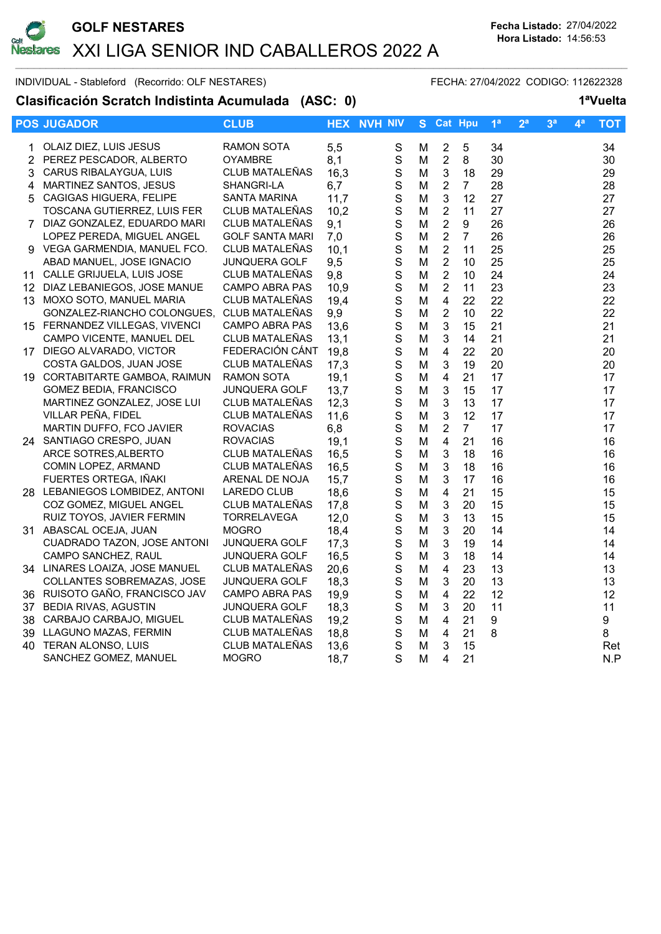

INDIVIDUAL - Stableford (Recorrido: OLF NESTARES) FECHA: 27/04/2022 CODIGO: 112622328

Clasificación Scratch Indistinta Acumulada (ASC: 0) 1<sup>a</sup>Vuelta

|    | <b>POS JUGADOR</b>             | <b>CLUB</b>            |      | <b>HEX NVH NIV</b> | S. |                         | <b>Cat Hpu</b> | 1 <sup>a</sup> | 2 <sup>a</sup> | 3 <sup>a</sup> | 4ª | <b>TOT</b> |
|----|--------------------------------|------------------------|------|--------------------|----|-------------------------|----------------|----------------|----------------|----------------|----|------------|
| 1  | OLAIZ DIEZ, LUIS JESUS         | <b>RAMON SOTA</b>      | 5,5  | ${\mathsf S}$      | м  | $\sqrt{2}$              | 5              | 34             |                |                |    | 34         |
|    | 2 PEREZ PESCADOR, ALBERTO      | <b>OYAMBRE</b>         | 8,1  | $\mathbf S$        | M  | $\sqrt{2}$              | 8              | 30             |                |                |    | 30         |
| 3  | CARUS RIBALAYGUA, LUIS         | CLUB MATALEÑAS         | 16,3 | $\mathbf S$        | M  | $\sqrt{3}$              | 18             | 29             |                |                |    | 29         |
| 4  | <b>MARTINEZ SANTOS, JESUS</b>  | SHANGRI-LA             | 6,7  | $\mathbf S$        | M  | $\overline{2}$          | $\overline{7}$ | 28             |                |                |    | 28         |
| 5. | CAGIGAS HIGUERA, FELIPE        | <b>SANTA MARINA</b>    | 11,7 | $\mathbf S$        | M  | $\mathbf{3}$            | 12             | 27             |                |                |    | 27         |
|    | TOSCANA GUTIERREZ, LUIS FER    | CLUB MATALEÑAS         | 10,2 | $\mathbf S$        | М  | $\overline{2}$          | 11             | 27             |                |                |    | 27         |
|    | 7 DIAZ GONZALEZ, EDUARDO MARI  | CLUB MATALEÑAS         | 9,1  | $\mathbf S$        | M  | $\boldsymbol{2}$        | 9              | 26             |                |                |    | 26         |
|    | LOPEZ PEREDA, MIGUEL ANGEL     | <b>GOLF SANTA MARI</b> | 7,0  | $\mathbf S$        | M  | $\overline{2}$          | $\overline{7}$ | 26             |                |                |    | 26         |
|    | 9 VEGA GARMENDIA, MANUEL FCO.  | CLUB MATALEÑAS         | 10,1 | $\mathbf S$        | M  | $\sqrt{2}$              | 11             | 25             |                |                |    | 25         |
|    | ABAD MANUEL, JOSE IGNACIO      | <b>JUNQUERA GOLF</b>   | 9,5  | S                  | M  | $\overline{2}$          | 10             | 25             |                |                |    | 25         |
|    | 11 CALLE GRIJUELA, LUIS JOSE   | CLUB MATALEÑAS         | 9,8  | $\mathbf S$        | M  | $\sqrt{2}$              | 10             | 24             |                |                |    | 24         |
|    | 12 DIAZ LEBANIEGOS, JOSE MANUE | CAMPO ABRA PAS         | 10,9 | $\mathbf S$        | M  | $\overline{2}$          | 11             | 23             |                |                |    | 23         |
|    | 13 MOXO SOTO, MANUEL MARIA     | <b>CLUB MATALEÑAS</b>  | 19,4 | $\mathbf S$        | M  | $\overline{4}$          | 22             | 22             |                |                |    | 22         |
|    | GONZALEZ-RIANCHO COLONGUES,    | CLUB MATALEÑAS         | 9,9  | $\mathbf S$        | M  | $\overline{2}$          | 10             | 22             |                |                |    | 22         |
|    | 15 FERNANDEZ VILLEGAS, VIVENCI | <b>CAMPO ABRA PAS</b>  | 13,6 | $\mathbf S$        | M  | $\mathbf{3}$            | 15             | 21             |                |                |    | 21         |
|    | CAMPO VICENTE, MANUEL DEL      | CLUB MATALEÑAS         | 13,1 | $\mathbf S$        | M  | $\mathbf{3}$            | 14             | 21             |                |                |    | 21         |
|    | 17 DIEGO ALVARADO, VICTOR      | FEDERACIÓN CÁNT        | 19,8 | $\mathbf S$        | M  | $\overline{4}$          | 22             | 20             |                |                |    | 20         |
|    | COSTA GALDOS, JUAN JOSE        | <b>CLUB MATALEÑAS</b>  | 17,3 | $\mathsf S$        | M  | 3                       | 19             | 20             |                |                |    | 20         |
|    | 19 CORTABITARTE GAMBOA, RAIMUN | RAMON SOTA             | 19,1 | $\mathbf S$        | M  | $\overline{\mathbf{4}}$ | 21             | 17             |                |                |    | 17         |
|    | <b>GOMEZ BEDIA, FRANCISCO</b>  | <b>JUNQUERA GOLF</b>   | 13,7 | $\mathbf S$        | M  | $\mathbf{3}$            | 15             | 17             |                |                |    | 17         |
|    | MARTINEZ GONZALEZ, JOSE LUI    | CLUB MATALEÑAS         | 12,3 | $\mathbf S$        | M  | $\mathbf{3}$            | 13             | 17             |                |                |    | 17         |
|    | VILLAR PEÑA, FIDEL             | CLUB MATALEÑAS         | 11,6 | $\mathbf S$        | M  | $\mathbf{3}$            | 12             | 17             |                |                |    | 17         |
|    | MARTIN DUFFO, FCO JAVIER       | <b>ROVACIAS</b>        | 6,8  | $\mathbf S$        | M  | $\overline{2}$          | $\overline{7}$ | 17             |                |                |    | 17         |
|    | 24 SANTIAGO CRESPO, JUAN       | <b>ROVACIAS</b>        | 19,1 | $\mathbf S$        | M  | $\overline{4}$          | 21             | 16             |                |                |    | 16         |
|    | ARCE SOTRES, ALBERTO           | CLUB MATALEÑAS         | 16,5 | $\mathbf S$        | M  | $\mathbf{3}$            | 18             | 16             |                |                |    | 16         |
|    | COMIN LOPEZ, ARMAND            | CLUB MATALEÑAS         | 16,5 | $\mathbf S$        | M  | $\mathbf{3}$            | 18             | 16             |                |                |    | 16         |
|    | FUERTES ORTEGA, IÑAKI          | ARENAL DE NOJA         | 15,7 | $\mathbf S$        | M  | $\sqrt{3}$              | 17             | 16             |                |                |    | 16         |
|    | 28 LEBANIEGOS LOMBIDEZ, ANTONI | LAREDO CLUB            | 18,6 | $\mathbf S$        | M  | $\overline{4}$          | 21             | 15             |                |                |    | 15         |
|    | COZ GOMEZ, MIGUEL ANGEL        | <b>CLUB MATALENAS</b>  | 17,8 | $\mathbf S$        | M  | $\mathbf{3}$            | 20             | 15             |                |                |    | 15         |
|    | RUIZ TOYOS, JAVIER FERMIN      | <b>TORRELAVEGA</b>     | 12,0 | $\mathbf S$        | M  | $\mathbf{3}$            | 13             | 15             |                |                |    | 15         |
|    | 31 ABASCAL OCEJA, JUAN         | <b>MOGRO</b>           | 18,4 | $\mathbf S$        | M  | $\mathbf{3}$            | 20             | 14             |                |                |    | 14         |
|    | CUADRADO TAZON, JOSE ANTONI    | JUNQUERA GOLF          | 17,3 | S                  | M  | $\mathbf{3}$            | 19             | 14             |                |                |    | 14         |
|    | CAMPO SANCHEZ, RAUL            | <b>JUNQUERA GOLF</b>   | 16,5 | $\mathbf S$        | M  | $\mathbf{3}$            | 18             | 14             |                |                |    | 14         |
|    | 34 LINARES LOAIZA, JOSE MANUEL | CLUB MATALEÑAS         | 20,6 | $\mathbf S$        | M  | $\overline{4}$          | 23             | 13             |                |                |    | 13         |
|    | COLLANTES SOBREMAZAS, JOSE     | <b>JUNQUERA GOLF</b>   | 18,3 | $\mathbf S$        | M  | $\mathbf{3}$            | 20             | 13             |                |                |    | 13         |
|    | 36 RUISOTO GAÑO, FRANCISCO JAV | <b>CAMPO ABRA PAS</b>  | 19,9 | $\mathbf S$        | м  | $\overline{4}$          | 22             | 12             |                |                |    | 12         |
|    | 37 BEDIA RIVAS, AGUSTIN        | JUNQUERA GOLF          | 18,3 | $\mathbf S$        | м  | $\mathbf{3}$            | 20             | 11             |                |                |    | 11         |
|    | 38 CARBAJO CARBAJO, MIGUEL     | <b>CLUB MATALEÑAS</b>  | 19,2 | $\mathbf S$        | M  | $\overline{4}$          | 21             | 9              |                |                |    | 9          |
|    | 39 LLAGUNO MAZAS, FERMIN       | CLUB MATALEÑAS         | 18,8 | $\mathbf S$        | M  | 4                       | 21             | 8              |                |                |    | 8          |
|    | 40 TERAN ALONSO, LUIS          | CLUB MATALEÑAS         | 13,6 | $\mathbf S$        | M  | 3                       | 15             |                |                |                |    | Ret        |
|    | SANCHEZ GOMEZ, MANUEL          | <b>MOGRO</b>           | 18,7 | $\mathsf{S}$       | М  | 4                       | 21             |                |                |                |    | N.P        |